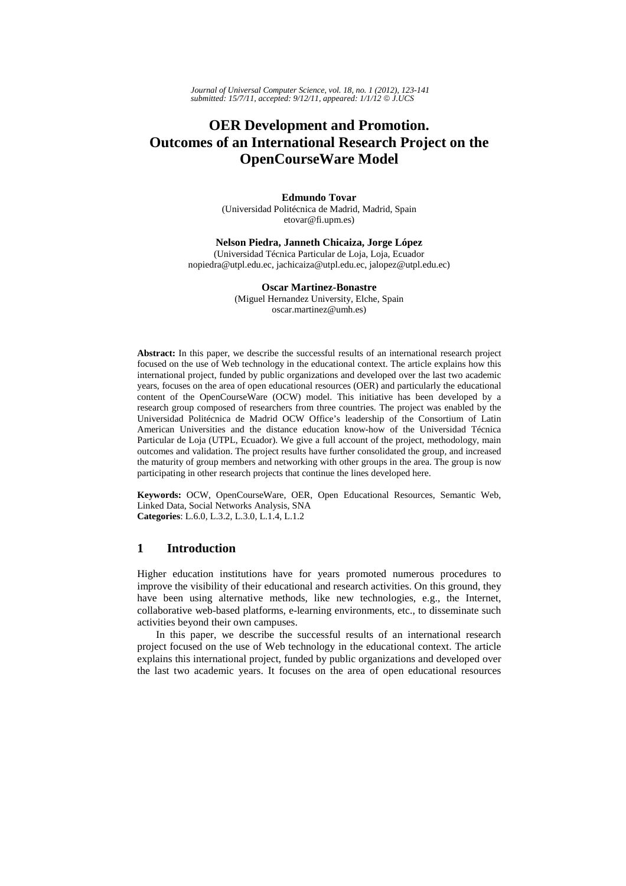# **OER Development and Promotion. Outcomes of an International Research Project on the OpenCourseWare Model**

**Edmundo Tovar**  (Universidad Politécnica de Madrid, Madrid, Spain etovar@fi.upm.es)

**Nelson Piedra, Janneth Chicaiza, Jorge López**  (Universidad Técnica Particular de Loja, Loja, Ecuador nopiedra@utpl.edu.ec, jachicaiza@utpl.edu.ec, jalopez@utpl.edu.ec)

> **Oscar Martinez-Bonastre**  (Miguel Hernandez University, Elche, Spain oscar.martinez@umh.es)

**Abstract:** In this paper, we describe the successful results of an international research project focused on the use of Web technology in the educational context. The article explains how this international project, funded by public organizations and developed over the last two academic years, focuses on the area of open educational resources (OER) and particularly the educational content of the OpenCourseWare (OCW) model. This initiative has been developed by a research group composed of researchers from three countries. The project was enabled by the Universidad Politécnica de Madrid OCW Office's leadership of the Consortium of Latin American Universities and the distance education know-how of the Universidad Técnica Particular de Loja (UTPL, Ecuador). We give a full account of the project, methodology, main outcomes and validation. The project results have further consolidated the group, and increased the maturity of group members and networking with other groups in the area. The group is now participating in other research projects that continue the lines developed here.

**Keywords:** OCW, OpenCourseWare, OER, Open Educational Resources, Semantic Web, Linked Data, Social Networks Analysis, SNA **Categories**: L.6.0, L.3.2, L.3.0, L.1.4, L.1.2

# **1 Introduction**

Higher education institutions have for years promoted numerous procedures to improve the visibility of their educational and research activities. On this ground, they have been using alternative methods, like new technologies, e.g., the Internet, collaborative web-based platforms, e-learning environments, etc., to disseminate such activities beyond their own campuses.

In this paper, we describe the successful results of an international research project focused on the use of Web technology in the educational context. The article explains this international project, funded by public organizations and developed over the last two academic years. It focuses on the area of open educational resources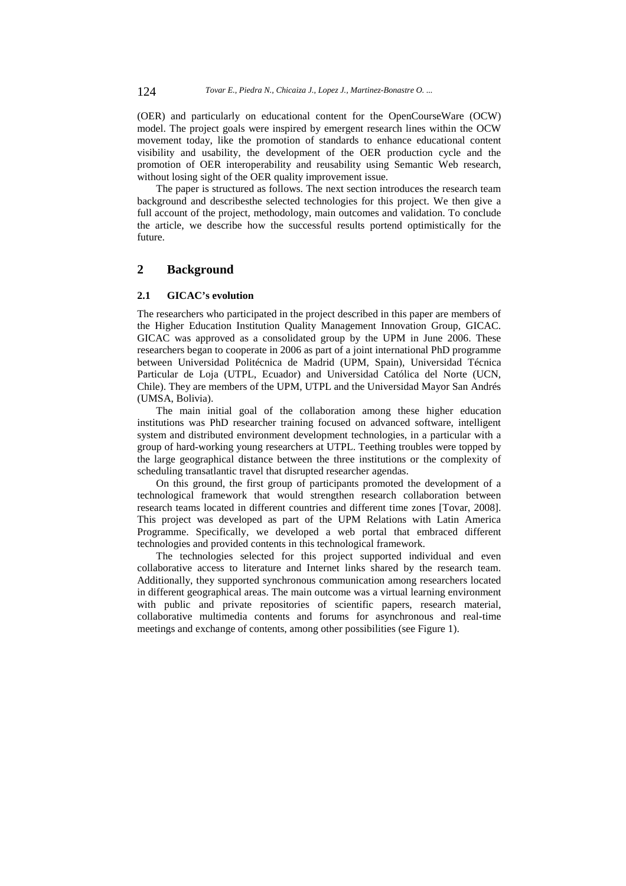(OER) and particularly on educational content for the OpenCourseWare (OCW) model. The project goals were inspired by emergent research lines within the OCW movement today, like the promotion of standards to enhance educational content visibility and usability, the development of the OER production cycle and the promotion of OER interoperability and reusability using Semantic Web research, without losing sight of the OER quality improvement issue.

The paper is structured as follows. The next section introduces the research team background and describesthe selected technologies for this project. We then give a full account of the project, methodology, main outcomes and validation. To conclude the article, we describe how the successful results portend optimistically for the future.

# **2 Background**

### **2.1 GICAC's evolution**

The researchers who participated in the project described in this paper are members of the Higher Education Institution Quality Management Innovation Group, GICAC. GICAC was approved as a consolidated group by the UPM in June 2006. These researchers began to cooperate in 2006 as part of a joint international PhD programme between Universidad Politécnica de Madrid (UPM, Spain), Universidad Técnica Particular de Loja (UTPL, Ecuador) and Universidad Católica del Norte (UCN, Chile). They are members of the UPM, UTPL and the Universidad Mayor San Andrés (UMSA, Bolivia).

The main initial goal of the collaboration among these higher education institutions was PhD researcher training focused on advanced software, intelligent system and distributed environment development technologies, in a particular with a group of hard-working young researchers at UTPL. Teething troubles were topped by the large geographical distance between the three institutions or the complexity of scheduling transatlantic travel that disrupted researcher agendas.

On this ground, the first group of participants promoted the development of a technological framework that would strengthen research collaboration between research teams located in different countries and different time zones [Tovar, 2008]. This project was developed as part of the UPM Relations with Latin America Programme. Specifically, we developed a web portal that embraced different technologies and provided contents in this technological framework.

The technologies selected for this project supported individual and even collaborative access to literature and Internet links shared by the research team. Additionally, they supported synchronous communication among researchers located in different geographical areas. The main outcome was a virtual learning environment with public and private repositories of scientific papers, research material, collaborative multimedia contents and forums for asynchronous and real-time meetings and exchange of contents, among other possibilities (see Figure 1).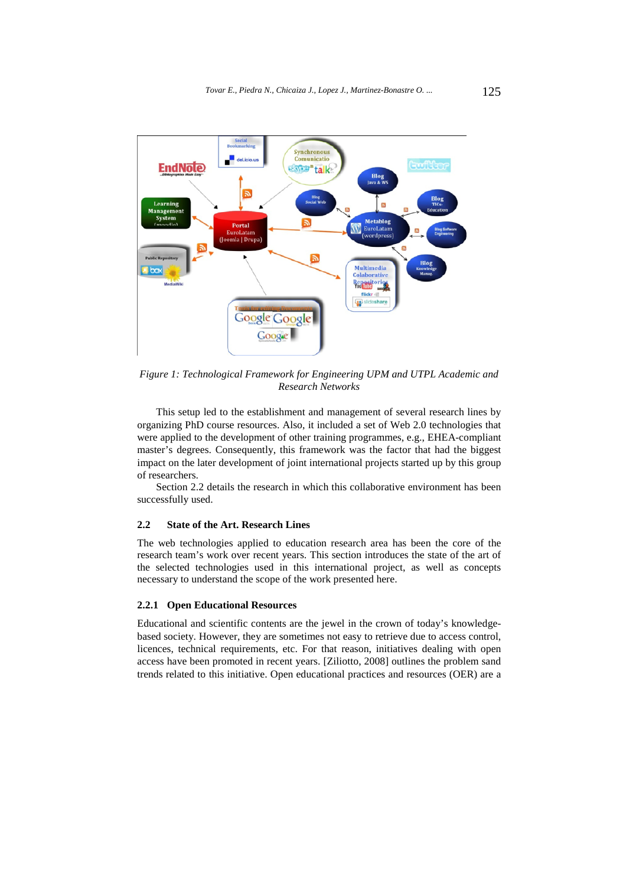

*Figure 1: Technological Framework for Engineering UPM and UTPL Academic and Research Networks* 

This setup led to the establishment and management of several research lines by organizing PhD course resources. Also, it included a set of Web 2.0 technologies that were applied to the development of other training programmes, e.g., EHEA-compliant master's degrees. Consequently, this framework was the factor that had the biggest impact on the later development of joint international projects started up by this group of researchers.

Section 2.2 details the research in which this collaborative environment has been successfully used.

#### **2.2 State of the Art. Research Lines**

The web technologies applied to education research area has been the core of the research team's work over recent years. This section introduces the state of the art of the selected technologies used in this international project, as well as concepts necessary to understand the scope of the work presented here.

### **2.2.1 Open Educational Resources**

Educational and scientific contents are the jewel in the crown of today's knowledgebased society. However, they are sometimes not easy to retrieve due to access control, licences, technical requirements, etc. For that reason, initiatives dealing with open access have been promoted in recent years. [Ziliotto, 2008] outlines the problem sand trends related to this initiative. Open educational practices and resources (OER) are a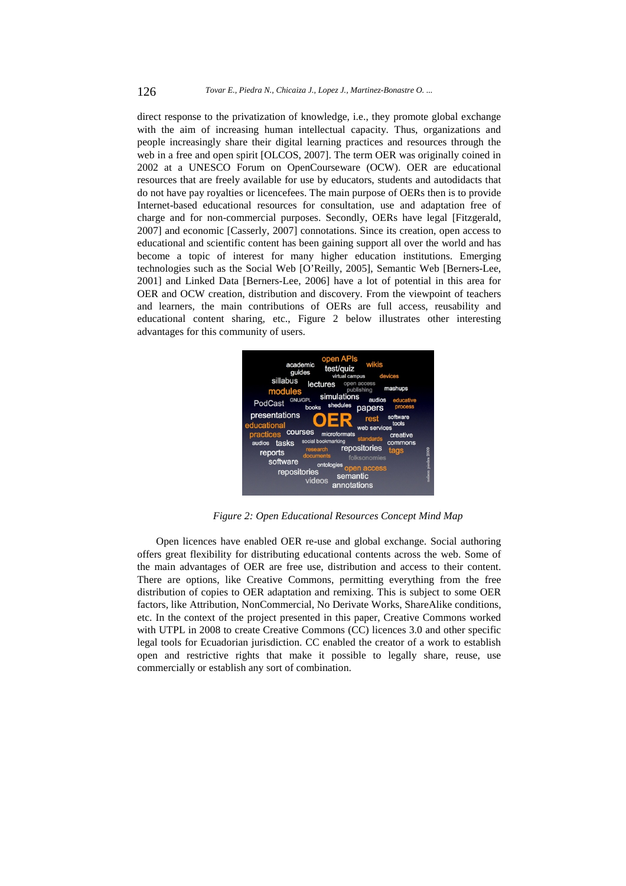direct response to the privatization of knowledge, i.e., they promote global exchange with the aim of increasing human intellectual capacity. Thus, organizations and people increasingly share their digital learning practices and resources through the web in a free and open spirit [OLCOS, 2007]. The term OER was originally coined in 2002 at a UNESCO Forum on OpenCourseware (OCW). OER are educational resources that are freely available for use by educators, students and autodidacts that do not have pay royalties or licencefees. The main purpose of OERs then is to provide Internet-based educational resources for consultation, use and adaptation free of charge and for non-commercial purposes. Secondly, OERs have legal [Fitzgerald, 2007] and economic [Casserly, 2007] connotations. Since its creation, open access to educational and scientific content has been gaining support all over the world and has become a topic of interest for many higher education institutions. Emerging technologies such as the Social Web [O'Reilly, 2005], Semantic Web [Berners-Lee, 2001] and Linked Data [Berners-Lee, 2006] have a lot of potential in this area for OER and OCW creation, distribution and discovery. From the viewpoint of teachers and learners, the main contributions of OERs are full access, reusability and educational content sharing, etc., Figure 2 below illustrates other interesting advantages for this community of users.



*Figure 2: Open Educational Resources Concept Mind Map* 

Open licences have enabled OER re-use and global exchange. Social authoring offers great flexibility for distributing educational contents across the web. Some of the main advantages of OER are free use, distribution and access to their content. There are options, like Creative Commons, permitting everything from the free distribution of copies to OER adaptation and remixing. This is subject to some OER factors, like Attribution, NonCommercial, No Derivate Works, ShareAlike conditions, etc. In the context of the project presented in this paper, Creative Commons worked with UTPL in 2008 to create Creative Commons (CC) licences 3.0 and other specific legal tools for Ecuadorian jurisdiction. CC enabled the creator of a work to establish open and restrictive rights that make it possible to legally share, reuse, use commercially or establish any sort of combination.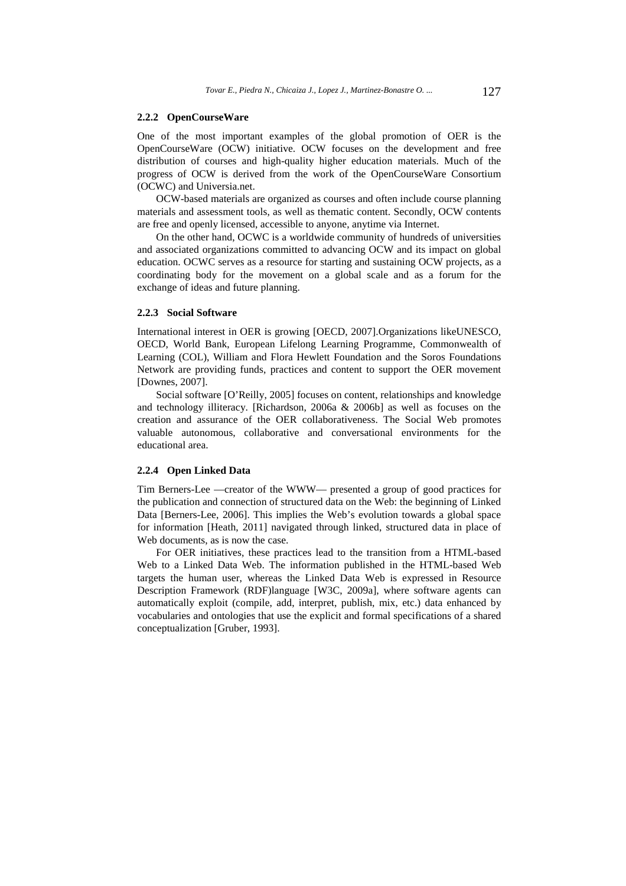#### **2.2.2 OpenCourseWare**

One of the most important examples of the global promotion of OER is the OpenCourseWare (OCW) initiative. OCW focuses on the development and free distribution of courses and high-quality higher education materials. Much of the progress of OCW is derived from the work of the OpenCourseWare Consortium (OCWC) and Universia.net.

OCW-based materials are organized as courses and often include course planning materials and assessment tools, as well as thematic content. Secondly, OCW contents are free and openly licensed, accessible to anyone, anytime via Internet.

On the other hand, OCWC is a worldwide community of hundreds of universities and associated organizations committed to advancing OCW and its impact on global education. OCWC serves as a resource for starting and sustaining OCW projects, as a coordinating body for the movement on a global scale and as a forum for the exchange of ideas and future planning.

### **2.2.3 Social Software**

International interest in OER is growing [OECD, 2007].Organizations likeUNESCO, OECD, World Bank, European Lifelong Learning Programme, Commonwealth of Learning (COL), William and Flora Hewlett Foundation and the Soros Foundations Network are providing funds, practices and content to support the OER movement [Downes, 2007].

Social software [O'Reilly, 2005] focuses on content, relationships and knowledge and technology illiteracy. [Richardson, 2006a & 2006b] as well as focuses on the creation and assurance of the OER collaborativeness. The Social Web promotes valuable autonomous, collaborative and conversational environments for the educational area.

### **2.2.4 Open Linked Data**

Tim Berners-Lee —creator of the WWW— presented a group of good practices for the publication and connection of structured data on the Web: the beginning of Linked Data [Berners-Lee, 2006]. This implies the Web's evolution towards a global space for information [Heath, 2011] navigated through linked, structured data in place of Web documents, as is now the case.

For OER initiatives, these practices lead to the transition from a HTML-based Web to a Linked Data Web. The information published in the HTML-based Web targets the human user, whereas the Linked Data Web is expressed in Resource Description Framework (RDF)language [W3C, 2009a], where software agents can automatically exploit (compile, add, interpret, publish, mix, etc.) data enhanced by vocabularies and ontologies that use the explicit and formal specifications of a shared conceptualization [Gruber, 1993].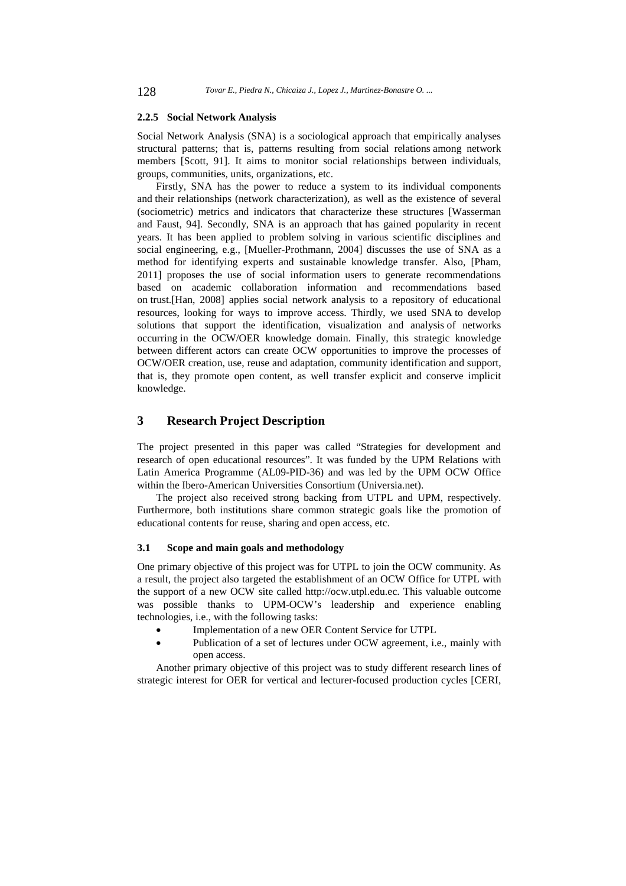#### **2.2.5 Social Network Analysis**

Social Network Analysis (SNA) is a sociological approach that empirically analyses structural patterns; that is, patterns resulting from social relations among network members [Scott, 91]. It aims to monitor social relationships between individuals, groups, communities, units, organizations, etc.

Firstly, SNA has the power to reduce a system to its individual components and their relationships (network characterization), as well as the existence of several (sociometric) metrics and indicators that characterize these structures [Wasserman and Faust, 94]. Secondly, SNA is an approach that has gained popularity in recent years. It has been applied to problem solving in various scientific disciplines and social engineering, e.g., [Mueller-Prothmann, 2004] discusses the use of SNA as a method for identifying experts and sustainable knowledge transfer. Also, [Pham, 2011] proposes the use of social information users to generate recommendations based on academic collaboration information and recommendations based on trust.[Han, 2008] applies social network analysis to a repository of educational resources, looking for ways to improve access. Thirdly, we used SNA to develop solutions that support the identification, visualization and analysis of networks occurring in the OCW/OER knowledge domain. Finally, this strategic knowledge between different actors can create OCW opportunities to improve the processes of OCW/OER creation, use, reuse and adaptation, community identification and support, that is, they promote open content, as well transfer explicit and conserve implicit knowledge.

# **3 Research Project Description**

The project presented in this paper was called "Strategies for development and research of open educational resources". It was funded by the UPM Relations with Latin America Programme (AL09-PID-36) and was led by the UPM OCW Office within the Ibero-American Universities Consortium (Universia.net).

The project also received strong backing from UTPL and UPM, respectively. Furthermore, both institutions share common strategic goals like the promotion of educational contents for reuse, sharing and open access, etc.

### **3.1 Scope and main goals and methodology**

One primary objective of this project was for UTPL to join the OCW community. As a result, the project also targeted the establishment of an OCW Office for UTPL with the support of a new OCW site called http://ocw.utpl.edu.ec. This valuable outcome was possible thanks to UPM-OCW's leadership and experience enabling technologies, i.e., with the following tasks:

- Implementation of a new OER Content Service for UTPL
- Publication of a set of lectures under OCW agreement, i.e., mainly with open access.

Another primary objective of this project was to study different research lines of strategic interest for OER for vertical and lecturer-focused production cycles [CERI,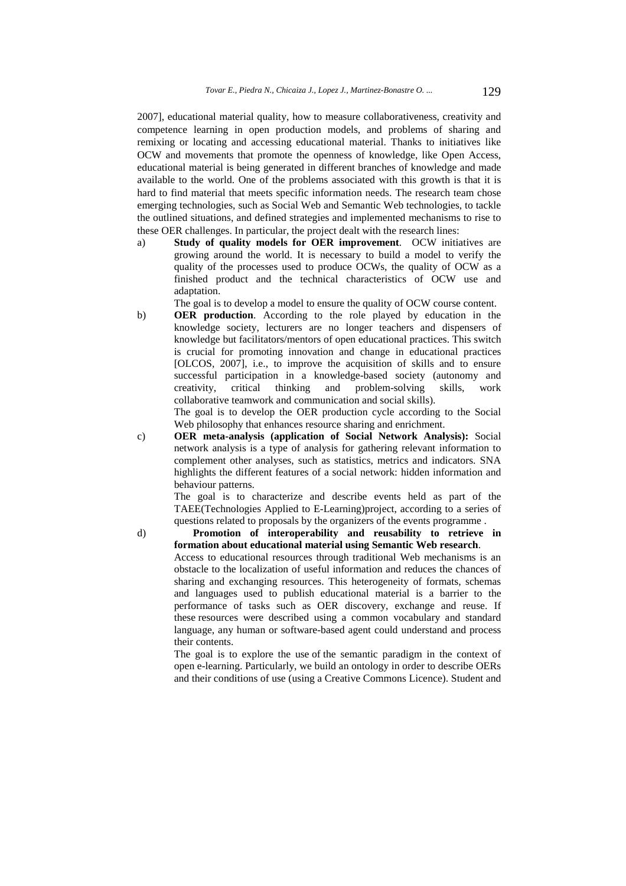2007], educational material quality, how to measure collaborativeness, creativity and competence learning in open production models, and problems of sharing and remixing or locating and accessing educational material. Thanks to initiatives like OCW and movements that promote the openness of knowledge, like Open Access, educational material is being generated in different branches of knowledge and made available to the world. One of the problems associated with this growth is that it is hard to find material that meets specific information needs. The research team chose emerging technologies, such as Social Web and Semantic Web technologies, to tackle the outlined situations, and defined strategies and implemented mechanisms to rise to these OER challenges. In particular, the project dealt with the research lines:

a) **Study of quality models for OER improvement**. OCW initiatives are growing around the world. It is necessary to build a model to verify the quality of the processes used to produce OCWs, the quality of OCW as a finished product and the technical characteristics of OCW use and adaptation.

The goal is to develop a model to ensure the quality of OCW course content.

b) **OER production**. According to the role played by education in the knowledge society, lecturers are no longer teachers and dispensers of knowledge but facilitators/mentors of open educational practices. This switch is crucial for promoting innovation and change in educational practices [OLCOS, 2007], i.e., to improve the acquisition of skills and to ensure successful participation in a knowledge-based society (autonomy and creativity, critical thinking and problem-solving skills, work collaborative teamwork and communication and social skills).

The goal is to develop the OER production cycle according to the Social Web philosophy that enhances resource sharing and enrichment.

c) **OER meta-analysis (application of Social Network Analysis):** Social network analysis is a type of analysis for gathering relevant information to complement other analyses, such as statistics, metrics and indicators. SNA highlights the different features of a social network: hidden information and behaviour patterns.

> The goal is to characterize and describe events held as part of the TAEE(Technologies Applied to E-Learning)project, according to a series of questions related to proposals by the organizers of the events programme .

d) **Promotion of interoperability and reusability to retrieve in formation about educational material using Semantic Web research**. Access to educational resources through traditional Web mechanisms is an obstacle to the localization of useful information and reduces the chances of sharing and exchanging resources. This heterogeneity of formats, schemas and languages used to publish educational material is a barrier to the performance of tasks such as OER discovery, exchange and reuse. If these resources were described using a common vocabulary and standard language, any human or software-based agent could understand and process their contents.

The goal is to explore the use of the semantic paradigm in the context of open e-learning. Particularly, we build an ontology in order to describe OERs and their conditions of use (using a Creative Commons Licence). Student and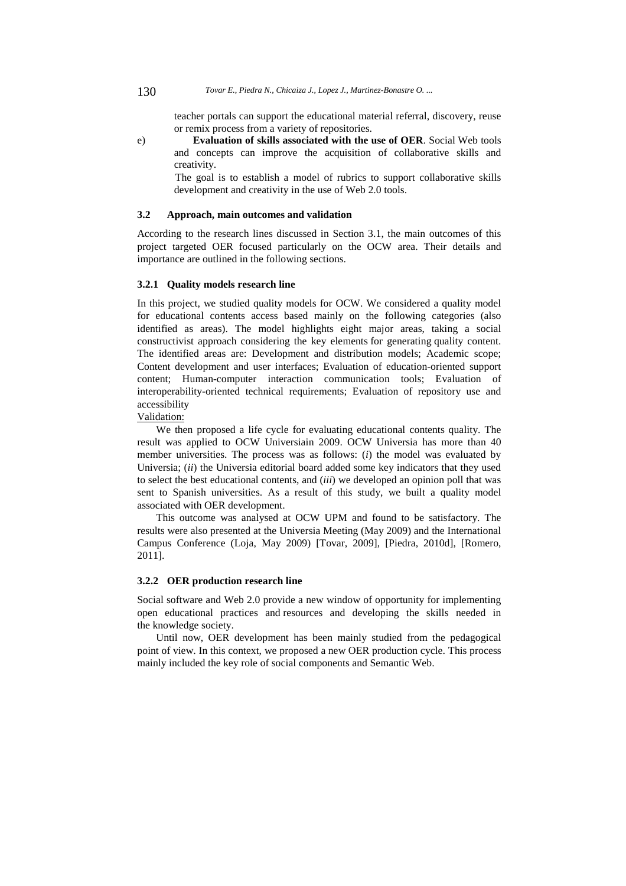#### 130 *Tovar E., Piedra N., Chicaiza J., Lopez J., Martinez-Bonastre O. ...*

teacher portals can support the educational material referral, discovery, reuse or remix process from a variety of repositories.

e) **Evaluation of skills associated with the use of OER**. Social Web tools and concepts can improve the acquisition of collaborative skills and creativity.

> The goal is to establish a model of rubrics to support collaborative skills development and creativity in the use of Web 2.0 tools.

### **3.2 Approach, main outcomes and validation**

According to the research lines discussed in Section 3.1, the main outcomes of this project targeted OER focused particularly on the OCW area. Their details and importance are outlined in the following sections.

### **3.2.1 Quality models research line**

In this project, we studied quality models for OCW. We considered a quality model for educational contents access based mainly on the following categories (also identified as areas). The model highlights eight major areas, taking a social constructivist approach considering the key elements for generating quality content. The identified areas are: Development and distribution models; Academic scope; Content development and user interfaces; Evaluation of education-oriented support content; Human-computer interaction communication tools; Evaluation of interoperability-oriented technical requirements; Evaluation of repository use and accessibility

#### Validation:

We then proposed a life cycle for evaluating educational contents quality. The result was applied to OCW Universiain 2009. OCW Universia has more than 40 member universities. The process was as follows: (*i*) the model was evaluated by Universia; (*ii*) the Universia editorial board added some key indicators that they used to select the best educational contents, and (*iii*) we developed an opinion poll that was sent to Spanish universities. As a result of this study, we built a quality model associated with OER development.

This outcome was analysed at OCW UPM and found to be satisfactory. The results were also presented at the Universia Meeting (May 2009) and the International Campus Conference (Loja, May 2009) [Tovar, 2009], [Piedra, 2010d], [Romero, 2011].

### **3.2.2 OER production research line**

Social software and Web 2.0 provide a new window of opportunity for implementing open educational practices and resources and developing the skills needed in the knowledge society.

Until now, OER development has been mainly studied from the pedagogical point of view. In this context, we proposed a new OER production cycle. This process mainly included the key role of social components and Semantic Web.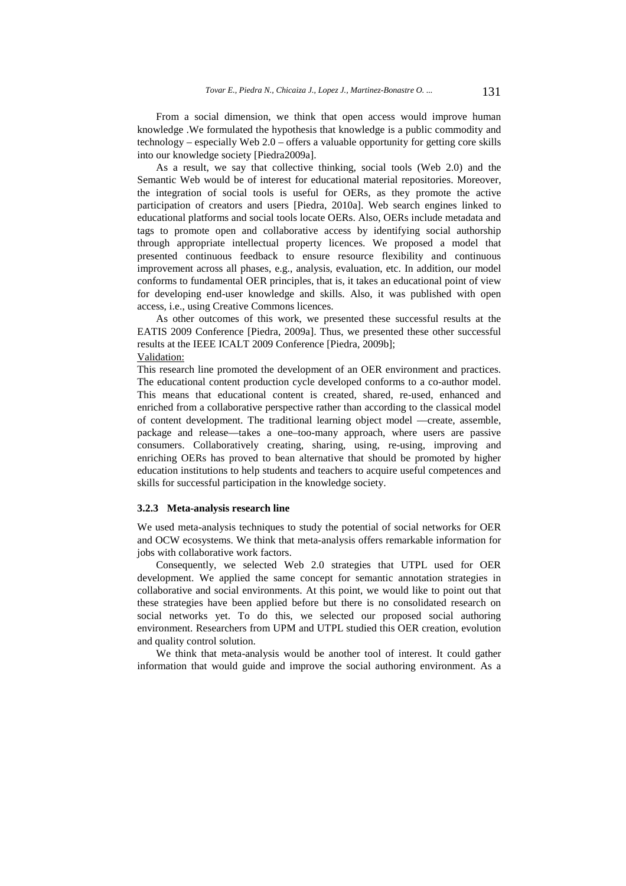From a social dimension, we think that open access would improve human knowledge .We formulated the hypothesis that knowledge is a public commodity and technology – especially Web 2.0 – offers a valuable opportunity for getting core skills into our knowledge society [Piedra2009a].

As a result, we say that collective thinking, social tools (Web 2.0) and the Semantic Web would be of interest for educational material repositories. Moreover, the integration of social tools is useful for OERs, as they promote the active participation of creators and users [Piedra, 2010a]. Web search engines linked to educational platforms and social tools locate OERs. Also, OERs include metadata and tags to promote open and collaborative access by identifying social authorship through appropriate intellectual property licences. We proposed a model that presented continuous feedback to ensure resource flexibility and continuous improvement across all phases, e.g., analysis, evaluation, etc. In addition, our model conforms to fundamental OER principles, that is, it takes an educational point of view for developing end-user knowledge and skills. Also, it was published with open access, i.e., using Creative Commons licences.

As other outcomes of this work, we presented these successful results at the EATIS 2009 Conference [Piedra, 2009a]. Thus, we presented these other successful results at the IEEE ICALT 2009 Conference [Piedra, 2009b]; Validation:

This research line promoted the development of an OER environment and practices. The educational content production cycle developed conforms to a co-author model. This means that educational content is created, shared, re-used, enhanced and enriched from a collaborative perspective rather than according to the classical model of content development. The traditional learning object model —create, assemble, package and release—takes a one–too-many approach, where users are passive consumers. Collaboratively creating, sharing, using, re-using, improving and enriching OERs has proved to bean alternative that should be promoted by higher education institutions to help students and teachers to acquire useful competences and skills for successful participation in the knowledge society.

### **3.2.3 Meta-analysis research line**

We used meta-analysis techniques to study the potential of social networks for OER and OCW ecosystems. We think that meta-analysis offers remarkable information for jobs with collaborative work factors.

Consequently, we selected Web 2.0 strategies that UTPL used for OER development. We applied the same concept for semantic annotation strategies in collaborative and social environments. At this point, we would like to point out that these strategies have been applied before but there is no consolidated research on social networks yet. To do this, we selected our proposed social authoring environment. Researchers from UPM and UTPL studied this OER creation, evolution and quality control solution.

We think that meta-analysis would be another tool of interest. It could gather information that would guide and improve the social authoring environment. As a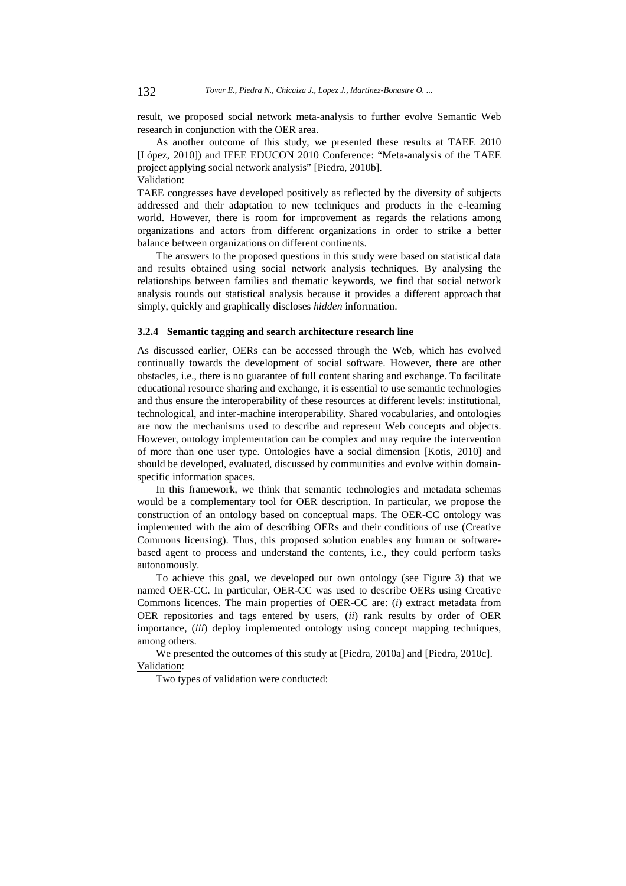result, we proposed social network meta-analysis to further evolve Semantic Web research in conjunction with the OER area.

As another outcome of this study, we presented these results at TAEE 2010 [López, 2010]) and IEEE EDUCON 2010 Conference: "Meta-analysis of the TAEE project applying social network analysis" [Piedra, 2010b].

# Validation:

TAEE congresses have developed positively as reflected by the diversity of subjects addressed and their adaptation to new techniques and products in the e-learning world. However, there is room for improvement as regards the relations among organizations and actors from different organizations in order to strike a better balance between organizations on different continents.

The answers to the proposed questions in this study were based on statistical data and results obtained using social network analysis techniques. By analysing the relationships between families and thematic keywords, we find that social network analysis rounds out statistical analysis because it provides a different approach that simply, quickly and graphically discloses *hidden* information.

### **3.2.4 Semantic tagging and search architecture research line**

As discussed earlier, OERs can be accessed through the Web, which has evolved continually towards the development of social software. However, there are other obstacles, i.e., there is no guarantee of full content sharing and exchange. To facilitate educational resource sharing and exchange, it is essential to use semantic technologies and thus ensure the interoperability of these resources at different levels: institutional, technological, and inter-machine interoperability. Shared vocabularies, and ontologies are now the mechanisms used to describe and represent Web concepts and objects. However, ontology implementation can be complex and may require the intervention of more than one user type. Ontologies have a social dimension [Kotis, 2010] and should be developed, evaluated, discussed by communities and evolve within domainspecific information spaces.

In this framework, we think that semantic technologies and metadata schemas would be a complementary tool for OER description. In particular, we propose the construction of an ontology based on conceptual maps. The OER-CC ontology was implemented with the aim of describing OERs and their conditions of use (Creative Commons licensing). Thus, this proposed solution enables any human or softwarebased agent to process and understand the contents, i.e., they could perform tasks autonomously.

To achieve this goal, we developed our own ontology (see Figure 3) that we named OER-CC. In particular, OER-CC was used to describe OERs using Creative Commons licences. The main properties of OER-CC are: (*i*) extract metadata from OER repositories and tags entered by users, (*ii*) rank results by order of OER importance, (*iii*) deploy implemented ontology using concept mapping techniques, among others.

We presented the outcomes of this study at [Piedra, 2010a] and [Piedra, 2010c]. Validation:

Two types of validation were conducted: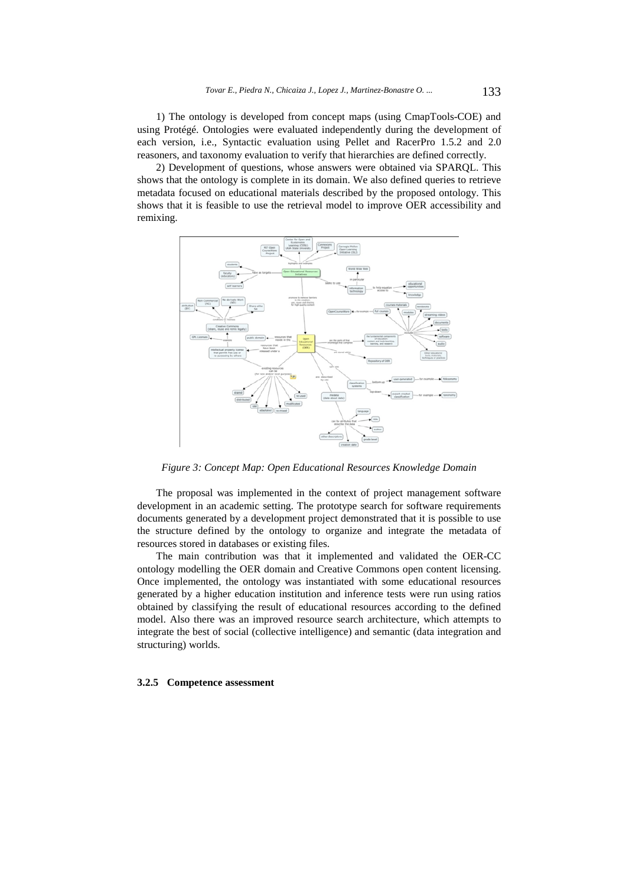1) The ontology is developed from concept maps (using CmapTools-COE) and using Protégé. Ontologies were evaluated independently during the development of each version, i.e., Syntactic evaluation using Pellet and RacerPro 1.5.2 and 2.0 reasoners, and taxonomy evaluation to verify that hierarchies are defined correctly.

2) Development of questions, whose answers were obtained via SPARQL. This shows that the ontology is complete in its domain. We also defined queries to retrieve metadata focused on educational materials described by the proposed ontology. This shows that it is feasible to use the retrieval model to improve OER accessibility and remixing.



*Figure 3: Concept Map: Open Educational Resources Knowledge Domain* 

The proposal was implemented in the context of project management software development in an academic setting. The prototype search for software requirements documents generated by a development project demonstrated that it is possible to use the structure defined by the ontology to organize and integrate the metadata of resources stored in databases or existing files.

The main contribution was that it implemented and validated the OER-CC ontology modelling the OER domain and Creative Commons open content licensing. Once implemented, the ontology was instantiated with some educational resources generated by a higher education institution and inference tests were run using ratios obtained by classifying the result of educational resources according to the defined model. Also there was an improved resource search architecture, which attempts to integrate the best of social (collective intelligence) and semantic (data integration and structuring) worlds.

### **3.2.5 Competence assessment**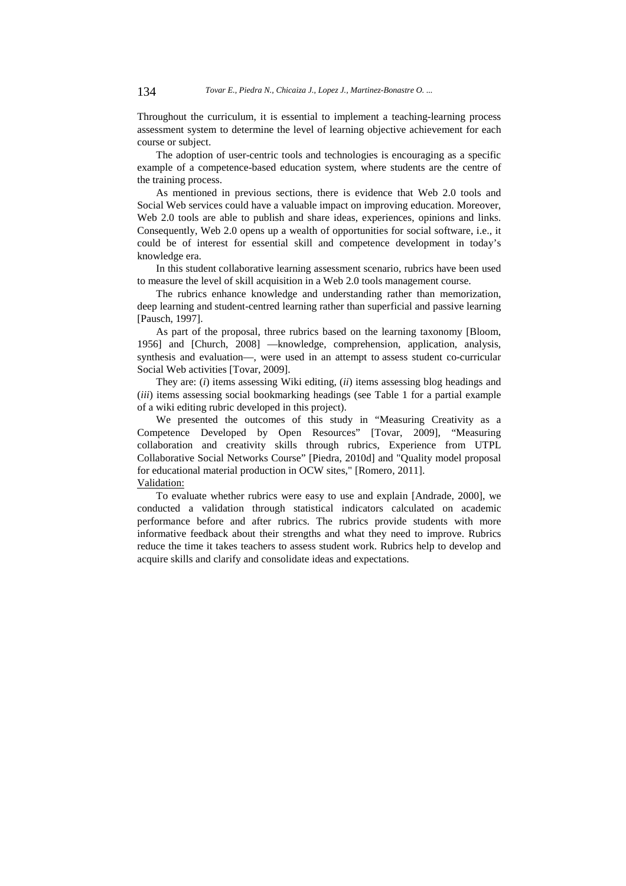Throughout the curriculum, it is essential to implement a teaching-learning process assessment system to determine the level of learning objective achievement for each course or subject.

The adoption of user-centric tools and technologies is encouraging as a specific example of a competence-based education system, where students are the centre of the training process.

As mentioned in previous sections, there is evidence that Web 2.0 tools and Social Web services could have a valuable impact on improving education. Moreover, Web 2.0 tools are able to publish and share ideas, experiences, opinions and links. Consequently, Web 2.0 opens up a wealth of opportunities for social software, i.e., it could be of interest for essential skill and competence development in today's knowledge era.

In this student collaborative learning assessment scenario, rubrics have been used to measure the level of skill acquisition in a Web 2.0 tools management course.

The rubrics enhance knowledge and understanding rather than memorization, deep learning and student-centred learning rather than superficial and passive learning [Pausch, 1997].

As part of the proposal, three rubrics based on the learning taxonomy [Bloom, 1956] and [Church, 2008] —knowledge, comprehension, application, analysis, synthesis and evaluation—, were used in an attempt to assess student co-curricular Social Web activities [Tovar, 2009].

They are: (*i*) items assessing Wiki editing, (*ii*) items assessing blog headings and (*iii*) items assessing social bookmarking headings (see Table 1 for a partial example of a wiki editing rubric developed in this project).

We presented the outcomes of this study in "Measuring Creativity as a Competence Developed by Open Resources" [Tovar, 2009], "Measuring collaboration and creativity skills through rubrics, Experience from UTPL Collaborative Social Networks Course" [Piedra, 2010d] and "Quality model proposal for educational material production in OCW sites," [Romero, 2011]. Validation:

To evaluate whether rubrics were easy to use and explain [Andrade, 2000], we conducted a validation through statistical indicators calculated on academic performance before and after rubrics. The rubrics provide students with more informative feedback about their strengths and what they need to improve. Rubrics reduce the time it takes teachers to assess student work. Rubrics help to develop and acquire skills and clarify and consolidate ideas and expectations.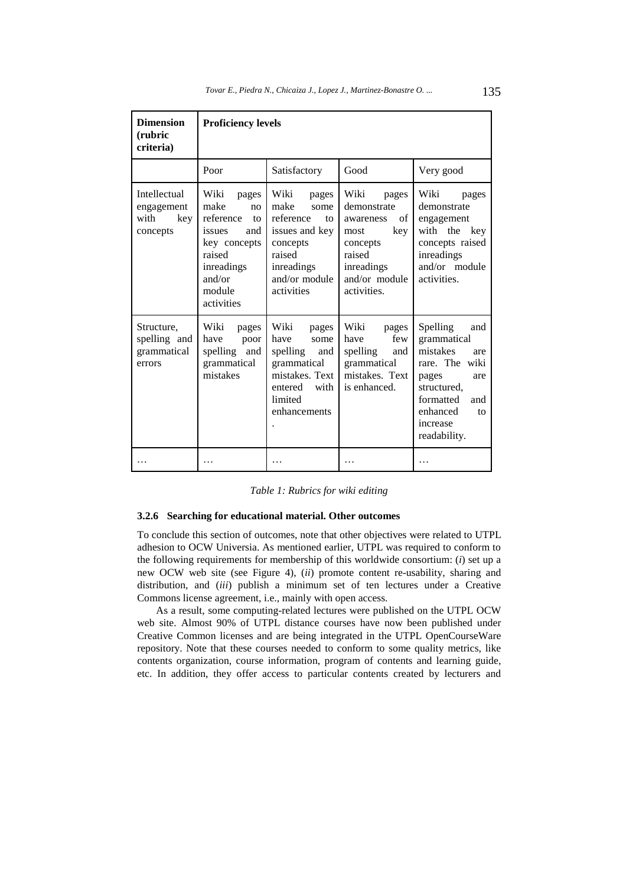| <b>Dimension</b><br>(rubric<br>criteria)              | <b>Proficiency levels</b>                                                                                                                             |                                                                                                                                       |                                                                                                                                    |                                                                                                                                                                      |
|-------------------------------------------------------|-------------------------------------------------------------------------------------------------------------------------------------------------------|---------------------------------------------------------------------------------------------------------------------------------------|------------------------------------------------------------------------------------------------------------------------------------|----------------------------------------------------------------------------------------------------------------------------------------------------------------------|
|                                                       | Poor                                                                                                                                                  | Satisfactory                                                                                                                          | Good                                                                                                                               | Very good                                                                                                                                                            |
| Intellectual<br>engagement<br>with<br>key<br>concepts | Wiki<br>pages<br>make<br>no<br>reference<br>$\overline{t}$<br>and<br>issues<br>key concepts<br>raised<br>inreadings<br>and/or<br>module<br>activities | Wiki<br>pages<br>make<br>some<br>reference<br>to<br>issues and key<br>concepts<br>raised<br>inreadings<br>and/or module<br>activities | Wiki<br>pages<br>demonstrate<br>of<br>awareness<br>key<br>most<br>concepts<br>raised<br>inreadings<br>and/or module<br>activities. | Wiki<br>pages<br>demonstrate<br>engagement<br>with the<br>key<br>concepts raised<br>inreadings<br>and/or module<br>activities.                                       |
| Structure,<br>spelling and<br>grammatical<br>errors   | Wiki<br>pages<br>have<br>poor<br>spelling and<br>grammatical<br>mistakes                                                                              | Wiki<br>pages<br>have<br>some<br>spelling<br>and<br>grammatical<br>mistakes. Text<br>entered<br>with<br>limited<br>enhancements       | Wiki<br>pages<br>few<br>have<br>spelling<br>and<br>grammatical<br>mistakes. Text<br>is enhanced.                                   | Spelling<br>and<br>grammatical<br>mistakes<br>are<br>rare. The wiki<br>pages<br>are<br>structured,<br>formatted<br>and<br>enhanced<br>to<br>increase<br>readability. |
|                                                       | .                                                                                                                                                     | .                                                                                                                                     | .                                                                                                                                  | .                                                                                                                                                                    |

*Table 1: Rubrics for wiki editing* 

### **3.2.6 Searching for educational material. Other outcomes**

To conclude this section of outcomes, note that other objectives were related to UTPL adhesion to OCW Universia. As mentioned earlier, UTPL was required to conform to the following requirements for membership of this worldwide consortium: (*i*) set up a new OCW web site (see Figure 4), (*ii*) promote content re-usability, sharing and distribution, and (*iii*) publish a minimum set of ten lectures under a Creative Commons license agreement, i.e., mainly with open access.

As a result, some computing-related lectures were published on the UTPL OCW web site. Almost 90% of UTPL distance courses have now been published under Creative Common licenses and are being integrated in the UTPL OpenCourseWare repository. Note that these courses needed to conform to some quality metrics, like contents organization, course information, program of contents and learning guide, etc. In addition, they offer access to particular contents created by lecturers and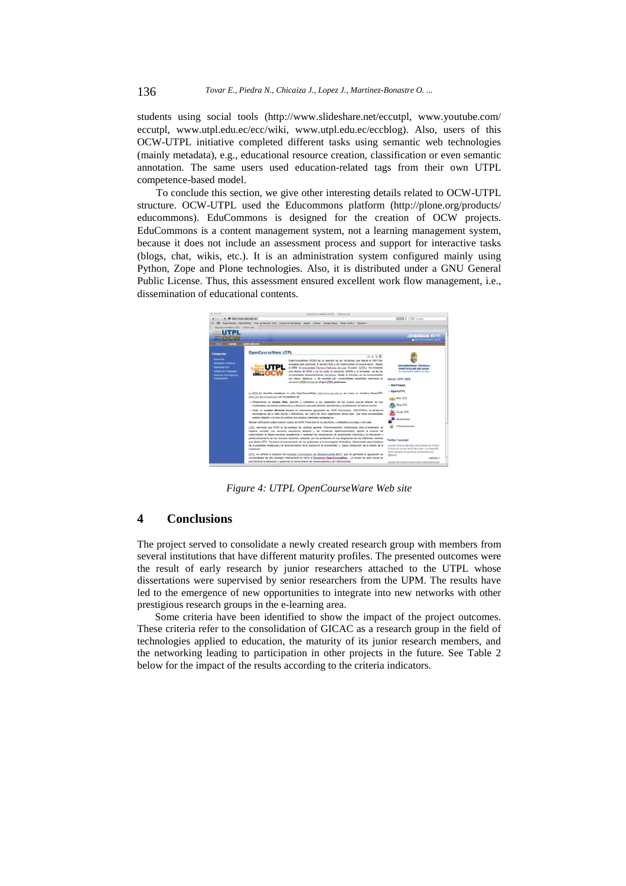students using social tools (http://www.slideshare.net/eccutpl, www.youtube.com/ eccutpl, www.utpl.edu.ec/ecc/wiki, www.utpl.edu.ec/eccblog). Also, users of this OCW-UTPL initiative completed different tasks using semantic web technologies (mainly metadata), e.g., educational resource creation, classification or even semantic annotation. The same users used education-related tags from their own UTPL competence-based model.

To conclude this section, we give other interesting details related to OCW-UTPL structure. OCW-UTPL used the Educommons platform (http://plone.org/products/ educommons). EduCommons is designed for the creation of OCW projects. EduCommons is a content management system, not a learning management system, because it does not include an assessment process and support for interactive tasks (blogs, chat, wikis, etc.). It is an administration system configured mainly using Python, Zope and Plone technologies. Also, it is distributed under a GNU General Public License. Thus, this assessment ensured excellent work flow management, i.e., dissemination of educational contents.



*Figure 4: UTPL OpenCourseWare Web site* 

# **4 Conclusions**

The project served to consolidate a newly created research group with members from several institutions that have different maturity profiles. The presented outcomes were the result of early research by junior researchers attached to the UTPL whose dissertations were supervised by senior researchers from the UPM. The results have led to the emergence of new opportunities to integrate into new networks with other prestigious research groups in the e-learning area.

Some criteria have been identified to show the impact of the project outcomes. These criteria refer to the consolidation of GICAC as a research group in the field of technologies applied to education, the maturity of its junior research members, and the networking leading to participation in other projects in the future. See Table 2 below for the impact of the results according to the criteria indicators.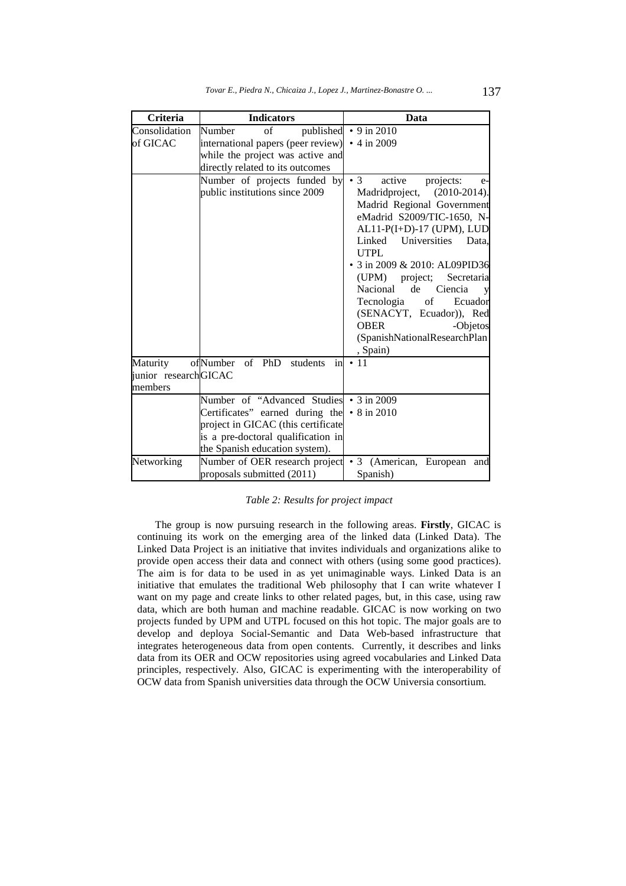| Criteria                                                                            | <b>Indicators</b>                                                                                                                                                                                          | Data                                                                                                                                                                                                                                                                                                                                                                                                                                            |  |
|-------------------------------------------------------------------------------------|------------------------------------------------------------------------------------------------------------------------------------------------------------------------------------------------------------|-------------------------------------------------------------------------------------------------------------------------------------------------------------------------------------------------------------------------------------------------------------------------------------------------------------------------------------------------------------------------------------------------------------------------------------------------|--|
| Consolidation                                                                       | $\sigma$ f<br>Number<br>published                                                                                                                                                                          | $\cdot$ 9 in 2010                                                                                                                                                                                                                                                                                                                                                                                                                               |  |
| of GICAC                                                                            | international papers (peer review)                                                                                                                                                                         | • 4 in 2009                                                                                                                                                                                                                                                                                                                                                                                                                                     |  |
|                                                                                     | while the project was active and                                                                                                                                                                           |                                                                                                                                                                                                                                                                                                                                                                                                                                                 |  |
|                                                                                     | directly related to its outcomes                                                                                                                                                                           |                                                                                                                                                                                                                                                                                                                                                                                                                                                 |  |
|                                                                                     | Number of projects funded by<br>public institutions since 2009                                                                                                                                             | $\bullet$ 3<br>active<br>projects:<br>e-<br>Madridproject, (2010-2014).<br>Madrid Regional Government<br>eMadrid S2009/TIC-1650, N-<br>$AL11-P(I+D)-17$ (UPM), LUD<br>Linked<br>Universities<br>Data.<br><b>UTPL</b><br>3 in 2009 & 2010: AL09PID36<br>(UPM) project; Secretaria<br>Nacional<br>de<br>Ciencia<br>Tecnologia<br>of<br>Ecuador<br>(SENACYT, Ecuador)), Red<br><b>OBER</b><br>-Objetos<br>(SpanishNationalResearchPlan<br>, Spain) |  |
| ofNumber<br>Maturity<br>of PhD<br>students<br>in<br>junior researchGICAC<br>members |                                                                                                                                                                                                            | $\cdot$ 11                                                                                                                                                                                                                                                                                                                                                                                                                                      |  |
|                                                                                     | Number of "Advanced Studies • 3 in 2009<br>Certificates" earned during the $\cdot$ 8 in 2010<br>project in GICAC (this certificate<br>is a pre-doctoral qualification in<br>the Spanish education system). |                                                                                                                                                                                                                                                                                                                                                                                                                                                 |  |
| Networking                                                                          | Number of OER research project<br>proposals submitted (2011)                                                                                                                                               | $\bullet$ 3<br>(American, European<br>and<br>Spanish)                                                                                                                                                                                                                                                                                                                                                                                           |  |

### *Table 2: Results for project impact*

The group is now pursuing research in the following areas. **Firstly**, GICAC is continuing its work on the emerging area of the linked data (Linked Data). The Linked Data Project is an initiative that invites individuals and organizations alike to provide open access their data and connect with others (using some good practices). The aim is for data to be used in as yet unimaginable ways. Linked Data is an initiative that emulates the traditional Web philosophy that I can write whatever I want on my page and create links to other related pages, but, in this case, using raw data, which are both human and machine readable. GICAC is now working on two projects funded by UPM and UTPL focused on this hot topic. The major goals are to develop and deploya Social-Semantic and Data Web-based infrastructure that integrates heterogeneous data from open contents. Currently, it describes and links data from its OER and OCW repositories using agreed vocabularies and Linked Data principles, respectively. Also, GICAC is experimenting with the interoperability of OCW data from Spanish universities data through the OCW Universia consortium.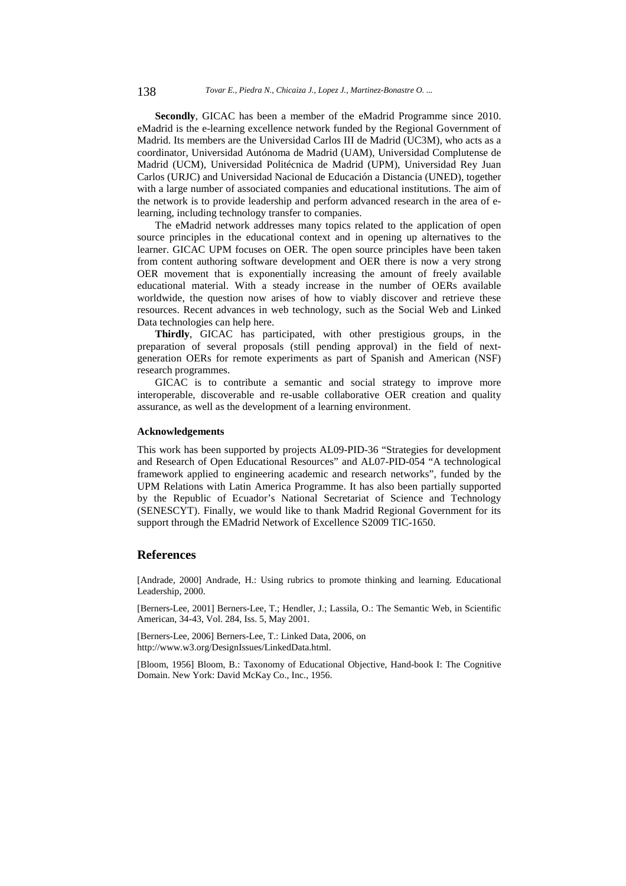**Secondly**, GICAC has been a member of the eMadrid Programme since 2010. eMadrid is the e-learning excellence network funded by the Regional Government of Madrid. Its members are the Universidad Carlos III de Madrid (UC3M), who acts as a coordinator, Universidad Autónoma de Madrid (UAM), Universidad Complutense de Madrid (UCM), Universidad Politécnica de Madrid (UPM), Universidad Rey Juan Carlos (URJC) and Universidad Nacional de Educación a Distancia (UNED), together with a large number of associated companies and educational institutions. The aim of the network is to provide leadership and perform advanced research in the area of elearning, including technology transfer to companies.

The eMadrid network addresses many topics related to the application of open source principles in the educational context and in opening up alternatives to the learner. GICAC UPM focuses on OER. The open source principles have been taken from content authoring software development and OER there is now a very strong OER movement that is exponentially increasing the amount of freely available educational material. With a steady increase in the number of OERs available worldwide, the question now arises of how to viably discover and retrieve these resources. Recent advances in web technology, such as the Social Web and Linked Data technologies can help here.

**Thirdly**, GICAC has participated, with other prestigious groups, in the preparation of several proposals (still pending approval) in the field of nextgeneration OERs for remote experiments as part of Spanish and American (NSF) research programmes.

GICAC is to contribute a semantic and social strategy to improve more interoperable, discoverable and re-usable collaborative OER creation and quality assurance, as well as the development of a learning environment.

### **Acknowledgements**

This work has been supported by projects AL09-PID-36 "Strategies for development and Research of Open Educational Resources" and AL07-PID-054 "A technological framework applied to engineering academic and research networks", funded by the UPM Relations with Latin America Programme. It has also been partially supported by the Republic of Ecuador's National Secretariat of Science and Technology (SENESCYT). Finally, we would like to thank Madrid Regional Government for its support through the EMadrid Network of Excellence S2009 TIC-1650.

### **References**

[Andrade, 2000] Andrade, H.: Using rubrics to promote thinking and learning. Educational Leadership, 2000.

[Berners-Lee, 2001] Berners-Lee, T.; Hendler, J.; Lassila, O.: The Semantic Web, in Scientific American, 34-43, Vol. 284, Iss. 5, May 2001.

[Berners-Lee, 2006] Berners-Lee, T.: Linked Data, 2006, on http://www.w3.org/DesignIssues/LinkedData.html.

[Bloom, 1956] Bloom, B.: Taxonomy of Educational Objective, Hand-book I: The Cognitive Domain. New York: David McKay Co., Inc., 1956.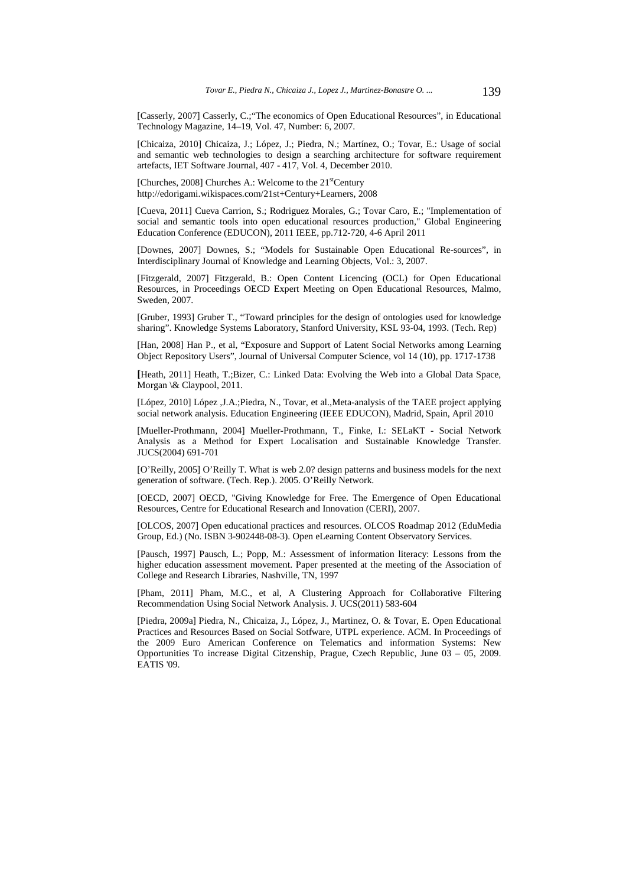[Casserly, 2007] Casserly, C.;"The economics of Open Educational Resources", in Educational Technology Magazine, 14–19, Vol. 47, Number: 6, 2007.

[Chicaiza, 2010] Chicaiza, J.; López, J.; Piedra, N.; Martínez, O.; Tovar, E.: Usage of social and semantic web technologies to design a searching architecture for software requirement artefacts, IET Software Journal, 407 - 417, Vol. 4, December 2010.

[Churches, 2008] Churches A.: Welcome to the 21<sup>st</sup>Century http://edorigami.wikispaces.com/21st+Century+Learners, 2008

[Cueva, 2011] Cueva Carrion, S.; Rodriguez Morales, G.; Tovar Caro, E.; "Implementation of social and semantic tools into open educational resources production," Global Engineering Education Conference (EDUCON), 2011 IEEE, pp.712-720, 4-6 April 2011

[Downes, 2007] Downes, S.; "Models for Sustainable Open Educational Re-sources", in Interdisciplinary Journal of Knowledge and Learning Objects, Vol.: 3, 2007.

[Fitzgerald, 2007] Fitzgerald, B.: Open Content Licencing (OCL) for Open Educational Resources, in Proceedings OECD Expert Meeting on Open Educational Resources, Malmo, Sweden, 2007.

[Gruber, 1993] Gruber T., "Toward principles for the design of ontologies used for knowledge sharing". Knowledge Systems Laboratory, Stanford University, KSL 93-04, 1993. (Tech. Rep)

[Han, 2008] Han P., et al, "Exposure and Support of Latent Social Networks among Learning Object Repository Users", Journal of Universal Computer Science, vol 14 (10), pp. 1717-1738

**[**Heath, 2011] Heath, T.;Bizer, C.: Linked Data: Evolving the Web into a Global Data Space, Morgan \& Claypool, 2011.

[López, 2010] López ,J.A.;Piedra, N., Tovar, et al.,Meta-analysis of the TAEE project applying social network analysis. Education Engineering (IEEE EDUCON), Madrid, Spain, April 2010

[Mueller-Prothmann, 2004] Mueller-Prothmann, T., Finke, I.: SELaKT - Social Network Analysis as a Method for Expert Localisation and Sustainable Knowledge Transfer. JUCS(2004) 691-701

[O'Reilly, 2005] O'Reilly T. What is web 2.0? design patterns and business models for the next generation of software. (Tech. Rep.). 2005. O'Reilly Network.

[OECD, 2007] OECD, "Giving Knowledge for Free. The Emergence of Open Educational Resources, Centre for Educational Research and Innovation (CERI), 2007.

[OLCOS, 2007] Open educational practices and resources. OLCOS Roadmap 2012 (EduMedia Group, Ed.) (No. ISBN 3-902448-08-3). Open eLearning Content Observatory Services.

[Pausch, 1997] Pausch, L.; Popp, M.: Assessment of information literacy: Lessons from the higher education assessment movement. Paper presented at the meeting of the Association of College and Research Libraries, Nashville, TN, 1997

[Pham, 2011] Pham, M.C., et al, A Clustering Approach for Collaborative Filtering Recommendation Using Social Network Analysis. J. UCS(2011) 583-604

[Piedra, 2009a] Piedra, N., Chicaiza, J., López, J., Martinez, O. & Tovar, E. Open Educational Practices and Resources Based on Social Sotfware, UTPL experience. ACM. In Proceedings of the 2009 Euro American Conference on Telematics and information Systems: New Opportunities To increase Digital Citzenship, Prague, Czech Republic, June 03 – 05, 2009. EATIS '09.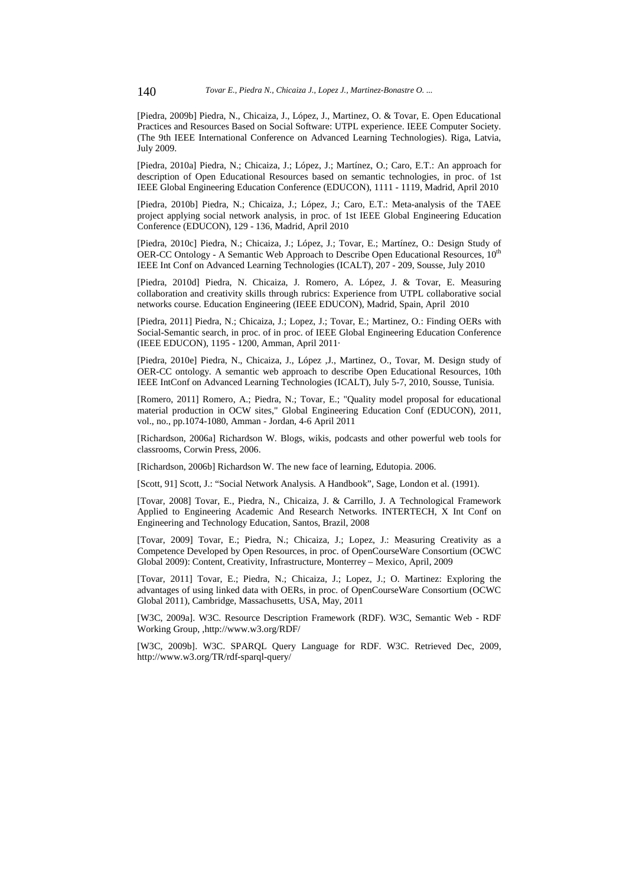[Piedra, 2009b] Piedra, N., Chicaiza, J., López, J., Martinez, O. & Tovar, E. Open Educational Practices and Resources Based on Social Software: UTPL experience. IEEE Computer Society. (The 9th IEEE International Conference on Advanced Learning Technologies). Riga, Latvia, July 2009.

[Piedra, 2010a] Piedra, N.; Chicaiza, J.; López, J.; Martínez, O.; Caro, E.T.: An approach for description of Open Educational Resources based on semantic technologies, in proc. of 1st IEEE Global Engineering Education Conference (EDUCON), 1111 - 1119, Madrid, April 2010

[Piedra, 2010b] Piedra, N.; Chicaiza, J.; López, J.; Caro, E.T.: Meta-analysis of the TAEE project applying social network analysis, in proc. of 1st IEEE Global Engineering Education Conference (EDUCON), 129 - 136, Madrid, April 2010

[Piedra, 2010c] Piedra, N.; Chicaiza, J.; López, J.; Tovar, E.; Martínez, O.: Design Study of OER-CC Ontology - A Semantic Web Approach to Describe Open Educational Resources, 10<sup>th</sup> IEEE Int Conf on Advanced Learning Technologies (ICALT), 207 - 209, Sousse, July 2010

[Piedra, 2010d] Piedra, N. Chicaiza, J. Romero, A. López, J. & Tovar, E. Measuring collaboration and creativity skills through rubrics: Experience from UTPL collaborative social networks course. Education Engineering (IEEE EDUCON), Madrid, Spain, April 2010

[Piedra, 2011] Piedra, N.; Chicaiza, J.; Lopez, J.; Tovar, E.; Martinez, O.: Finding OERs with Social-Semantic search, in proc. of in proc. of IEEE Global Engineering Education Conference (IEEE EDUCON), 1195 - 1200, Amman, April 2011·

[Piedra, 2010e] Piedra, N., Chicaiza, J., López ,J., Martinez, O., Tovar, M. Design study of OER-CC ontology. A semantic web approach to describe Open Educational Resources, 10th IEEE IntConf on Advanced Learning Technologies (ICALT), July 5-7, 2010, Sousse, Tunisia.

[Romero, 2011] Romero, A.; Piedra, N.; Tovar, E.; "Quality model proposal for educational material production in OCW sites," Global Engineering Education Conf (EDUCON), 2011, vol., no., pp.1074-1080, Amman - Jordan, 4-6 April 2011

[Richardson, 2006a] Richardson W. Blogs, wikis, podcasts and other powerful web tools for classrooms, Corwin Press, 2006.

[Richardson, 2006b] Richardson W. The new face of learning, Edutopia. 2006.

[Scott, 91] Scott, J.: "Social Network Analysis. A Handbook", Sage, London et al. (1991).

[Tovar, 2008] Tovar, E., Piedra, N., Chicaiza, J. & Carrillo, J. A Technological Framework Applied to Engineering Academic And Research Networks. INTERTECH, X Int Conf on Engineering and Technology Education, Santos, Brazil, 2008

[Tovar, 2009] Tovar, E.; Piedra, N.; Chicaiza, J.; Lopez, J.: Measuring Creativity as a Competence Developed by Open Resources, in proc. of OpenCourseWare Consortium (OCWC Global 2009): Content, Creativity, Infrastructure, Monterrey – Mexico, April, 2009

[Tovar, 2011] Tovar, E.; Piedra, N.; Chicaiza, J.; Lopez, J.; O. Martinez: Exploring the advantages of using linked data with OERs, in proc. of OpenCourseWare Consortium (OCWC Global 2011), Cambridge, Massachusetts, USA, May, 2011

[W3C, 2009a]. W3C. Resource Description Framework (RDF). W3C, Semantic Web - RDF Working Group, ,http://www.w3.org/RDF/

[W3C, 2009b]. W3C. SPARQL Query Language for RDF. W3C. Retrieved Dec, 2009, http://www.w3.org/TR/rdf-sparql-query/